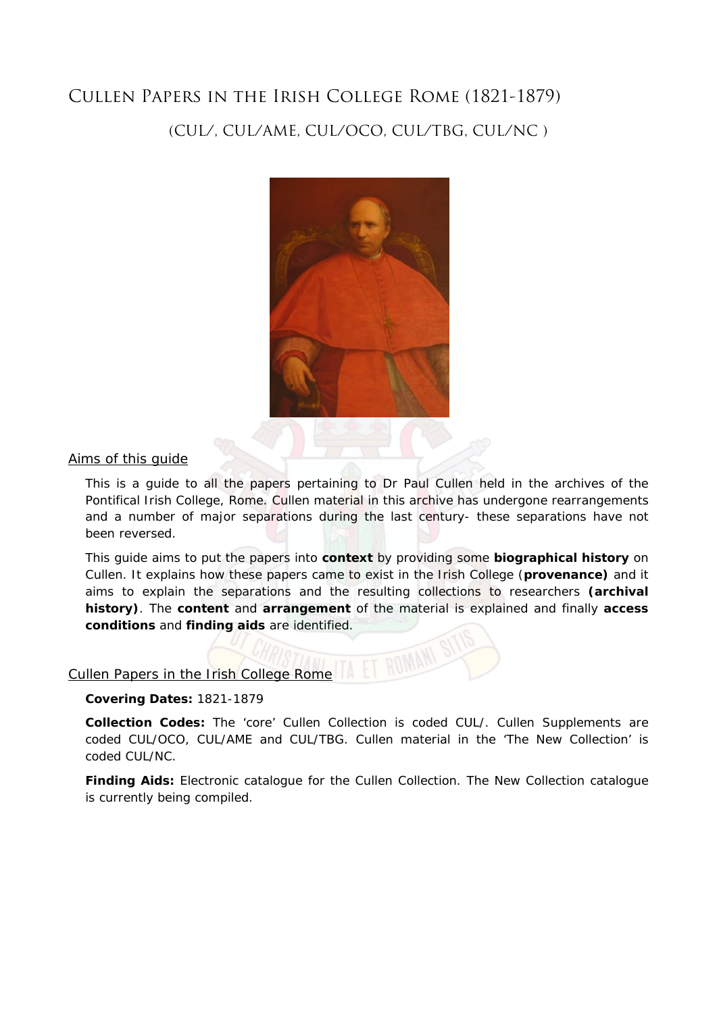# Cullen Papers in the Irish College Rome (1821-1879)

# (CUL/, CUL/AME, CUL/OCO, CUL/TBG, CUL/NC )



# Aims of this guide

This is a guide to all the papers pertaining to Dr Paul Cullen held in the archives of the Pontifical Irish College, Rome. Cullen material in this archive has undergone rearrangements and a number of major separations during the last century- these separations have not been reversed.

This guide aims to put the papers into **context** by providing some **biographical history** on Cullen. It explains how these papers came to exist in the Irish College (**provenance)** and it aims to explain the separations and the resulting collections to researchers **(archival history)**. The **content** and **arrangement** of the material is explained and finally **access conditions** and **finding aids** are identified.

#### Cullen Papers in the Irish College Rome

#### **Covering Dates:** 1821-1879

**Collection Codes:** The 'core' Cullen Collection is coded CUL/. Cullen Supplements are coded CUL/OCO, CUL/AME and CUL/TBG. Cullen material in the 'The New Collection' is coded CUL/NC.

**Finding Aids:** Electronic catalogue for the Cullen Collection. The New Collection catalogue is currently being compiled.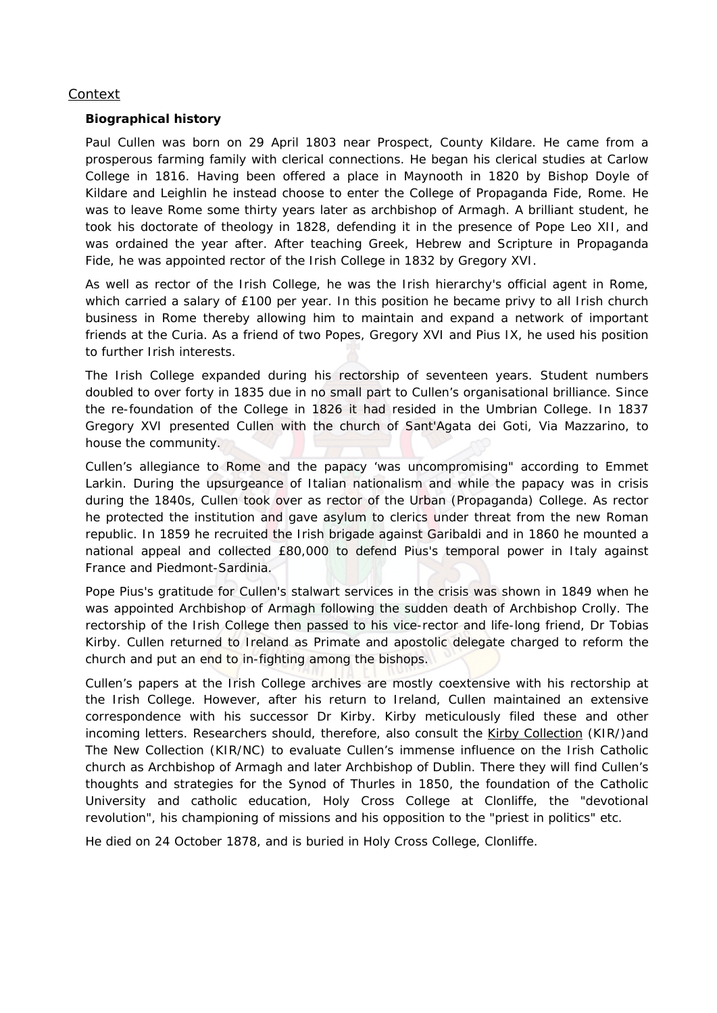# Context

# **Biographical history**

Paul Cullen was born on 29 April 1803 near Prospect, County Kildare. He came from a prosperous farming family with clerical connections. He began his clerical studies at Carlow College in 1816. Having been offered a place in Maynooth in 1820 by Bishop Doyle of Kildare and Leighlin he instead choose to enter the College of Propaganda Fide, Rome. He was to leave Rome some thirty years later as archbishop of Armagh. A brilliant student, he took his doctorate of theology in 1828, defending it in the presence of Pope Leo XII, and was ordained the year after. After teaching Greek, Hebrew and Scripture in Propaganda Fide, he was appointed rector of the Irish College in 1832 by Gregory XVI.

As well as rector of the Irish College, he was the Irish hierarchy's official agent in Rome, which carried a salary of £100 per year. In this position he became privy to all Irish church business in Rome thereby allowing him to maintain and expand a network of important friends at the Curia. As a friend of two Popes, Gregory XVI and Pius IX, he used his position to further Irish interests.

The Irish College expanded during his rectorship of seventeen years. Student numbers doubled to over forty in 1835 due in no small part to Cullen's organisational brilliance. Since the re-foundation of the College in 1826 it had resided in the Umbrian College. In 1837 Gregory XVI presented Cullen with the church of Sant'Agata dei Goti, Via Mazzarino, to house the community.

Cullen's allegiance to Rome and the papacy 'was uncompromising" according to Emmet Larkin. During the upsurgeance of Italian nationalism and while the papacy was in crisis during the 1840s, Cullen took over as rector of the Urban (Propaganda) College. As rector he protected the institution and gave asylum to clerics under threat from the new Roman republic. In 1859 he recruited the Irish brigade against Garibaldi and in 1860 he mounted a national appeal and collected £80,000 to defend Pius's temporal power in Italy against France and Piedmont-Sardinia.

Pope Pius's gratitude for Cullen's stalwart services in the crisis was shown in 1849 when he was appointed Archbishop of Armagh following the sudden death of Archbishop Crolly. The rectorship of the Irish College then passed to his vice-rector and life-long friend, Dr Tobias Kirby. Cullen returned to Ireland as Primate and apostolic delegate charged to reform the church and put an end to in-fighting among the bishops.

Cullen's papers at the Irish College archives are mostly coextensive with his rectorship at the Irish College. However, after his return to Ireland, Cullen maintained an extensive correspondence with his successor Dr Kirby. Kirby meticulously filed these and other incoming letters. Researchers should, therefore, also consult the Kirby Collection (KIR/)and The New Collection (KIR/NC) to evaluate Cullen's immense influence on the Irish Catholic church as Archbishop of Armagh and later Archbishop of Dublin. There they will find Cullen's thoughts and strategies for the Synod of Thurles in 1850, the foundation of the Catholic University and catholic education, Holy Cross College at Clonliffe, the "devotional revolution", his championing of missions and his opposition to the "priest in politics" etc.

He died on 24 October 1878, and is buried in Holy Cross College, Clonliffe.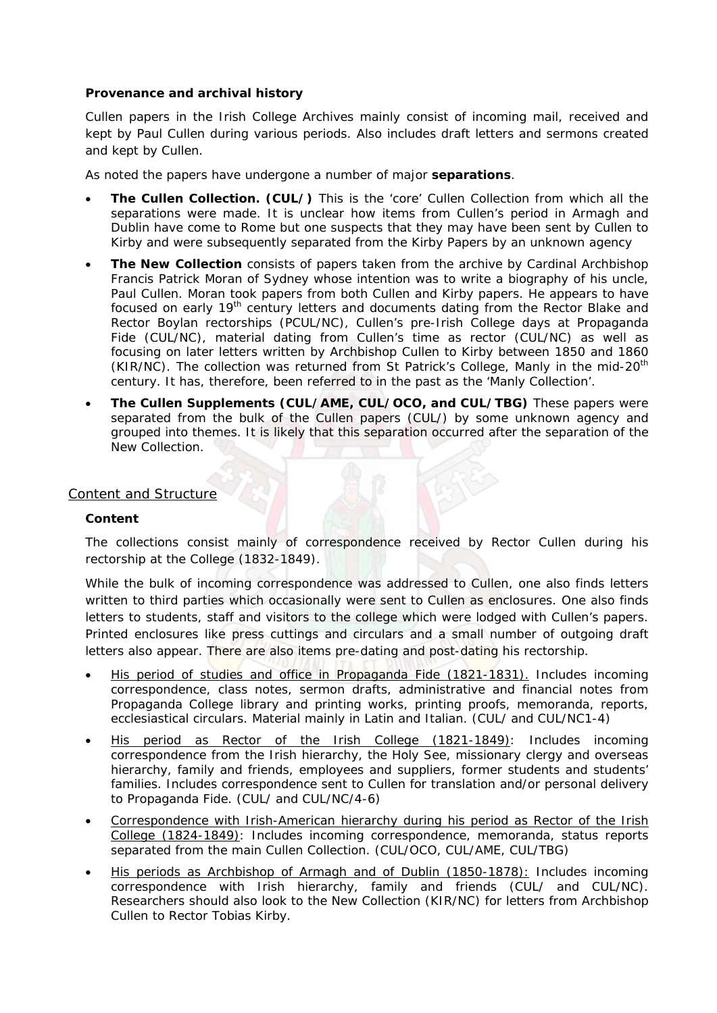# **Provenance and archival history**

Cullen papers in the Irish College Archives mainly consist of incoming mail, received and kept by Paul Cullen during various periods. Also includes draft letters and sermons created and kept by Cullen.

As noted the papers have undergone a number of major **separations**.

- **The Cullen Collection. (CUL/)** This is the 'core' Cullen Collection from which all the separations were made. It is unclear how items from Cullen's period in Armagh and Dublin have come to Rome but one suspects that they may have been sent by Cullen to Kirby and were subsequently separated from the Kirby Papers by an unknown agency
- **The New Collection** consists of papers taken from the archive by Cardinal Archbishop Francis Patrick Moran of Sydney whose intention was to write a biography of his uncle, Paul Cullen. Moran took papers from both Cullen and Kirby papers. He appears to have focused on early 19<sup>th</sup> century letters and documents dating from the Rector Blake and Rector Boylan rectorships (PCUL/NC), Cullen's pre-Irish College days at Propaganda Fide (CUL/NC), material dating from Cullen's time as rector (CUL/NC) as well as focusing on later letters written by Archbishop Cullen to Kirby between 1850 and 1860 (KIR/NC). The collection was returned from St Patrick's College, Manly in the mid-20<sup>th</sup> century. It has, therefore, been referred to in the past as the 'Manly Collection'.
- **The Cullen Supplements (CUL/AME, CUL/OCO, and CUL/TBG)** These papers were separated from the bulk of the Cullen papers (CUL/) by some unknown agency and grouped into themes. It is likely that this separation occurred after the separation of the New Collection.

# Content and Structure

#### **Content**

The collections consist mainly of correspondence received by Rector Cullen during his rectorship at the College (1832-1849).

While the bulk of incoming correspondence was addressed to Cullen, one also finds letters written to third parties which occasionally were sent to Cullen as enclosures. One also finds letters to students, staff and visitors to the college which were lodged with Cullen's papers. Printed enclosures like press cuttings and circulars and a small number of outgoing draft letters also appear. There are also items pre-dating and post-dating his rectorship.

- His period of studies and office in Propaganda Fide (1821-1831). Includes incoming correspondence, class notes, sermon drafts, administrative and financial notes from Propaganda College library and printing works, printing proofs, memoranda, reports, ecclesiastical circulars. Material mainly in Latin and Italian. (CUL/ and CUL/NC1-4)
- His period as Rector of the Irish College (1821-1849): Includes incoming correspondence from the Irish hierarchy, the Holy See, missionary clergy and overseas hierarchy, family and friends, employees and suppliers, former students and students' families. Includes correspondence sent to Cullen for translation and/or personal delivery to Propaganda Fide. (CUL/ and CUL/NC/4-6)
- Correspondence with Irish-American hierarchy during his period as Rector of the Irish College (1824-1849): Includes incoming correspondence, memoranda, status reports separated from the main Cullen Collection. (CUL/OCO, CUL/AME, CUL/TBG)
- His periods as Archbishop of Armagh and of Dublin (1850-1878): Includes incoming correspondence with Irish hierarchy, family and friends (CUL/ and CUL/NC). Researchers should also look to the New Collection (KIR/NC) for letters from Archbishop Cullen to Rector Tobias Kirby.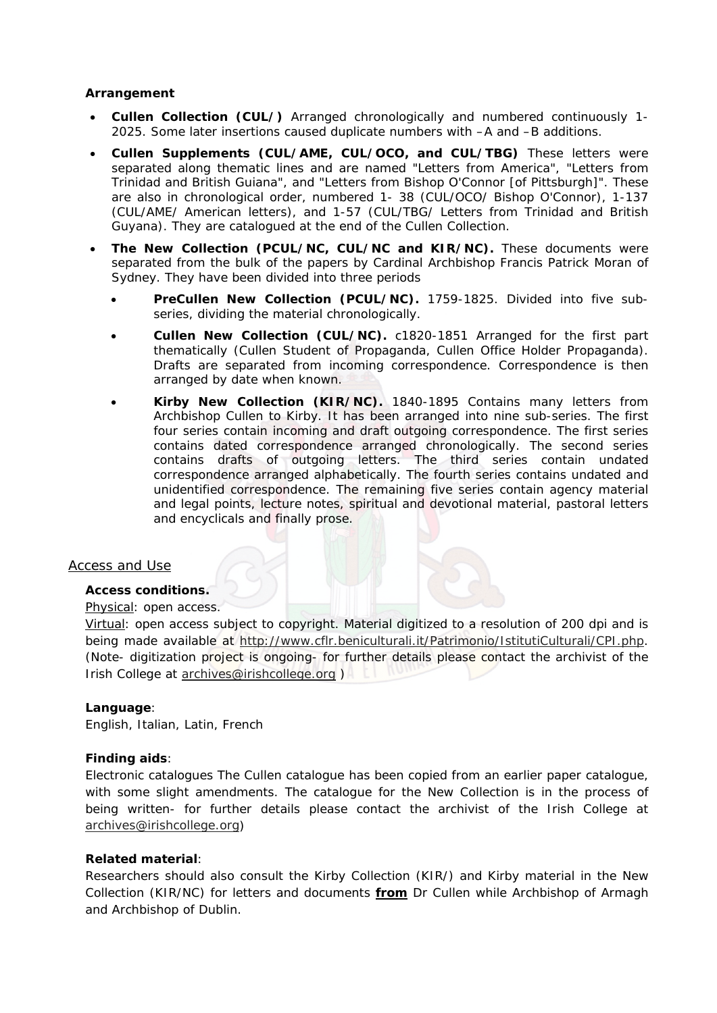#### **Arrangement**

- **Cullen Collection (CUL/)** Arranged chronologically and numbered continuously 1- 2025. Some later insertions caused duplicate numbers with –A and –B additions.
- **Cullen Supplements (CUL/AME, CUL/OCO, and CUL/TBG)** These letters were separated along thematic lines and are named "Letters from America", "Letters from Trinidad and British Guiana", and "Letters from Bishop O'Connor [of Pittsburgh]". These are also in chronological order, numbered 1- 38 (CUL/OCO/ Bishop O'Connor), 1-137 (CUL/AME/ American letters), and 1-57 (CUL/TBG/ Letters from Trinidad and British Guyana). They are catalogued at the end of the Cullen Collection.
- **The New Collection (PCUL/NC, CUL/NC and KIR/NC).** These documents were separated from the bulk of the papers by Cardinal Archbishop Francis Patrick Moran of Sydney. They have been divided into three periods
	- **PreCullen New Collection (PCUL/NC).** 1759-1825. Divided into five subseries, dividing the material chronologically.
	- **Cullen New Collection (CUL/NC).** c1820-1851 Arranged for the first part thematically (Cullen Student of Propaganda, Cullen Office Holder Propaganda). Drafts are separated from incoming correspondence. Correspondence is then arranged by date when known.
	- **Kirby New Collection (KIR/NC).** 1840-1895 Contains many letters from Archbishop Cullen to Kirby. It has been arranged into nine sub-series. The first four series contain incoming and draft outgoing correspondence. The first series contains dated correspondence arranged chronologically. The second series contains drafts of outgoing letters. The third series contain undated correspondence arranged alphabetically. The fourth series contains undated and unidentified correspondence. The remaining five series contain agency material and legal points, lecture notes, spiritual and devotional material, pastoral letters and encyclicals and finally prose.

#### Access and Use

#### **Access conditions.**

#### Physical: open access.

Virtual: open access subject to copyright. Material digitized to a resolution of 200 dpi and is being made available at http://www.cflr.beniculturali.it/Patrimonio/IstitutiCulturali/CPI.php. (Note- digitization project is ongoing- for further details please contact the archivist of the Irish College at archives@irishcollege.org )

#### **Language**:

English, Italian, Latin, French

#### **Finding aids**:

Electronic catalogues The Cullen catalogue has been copied from an earlier paper catalogue, with some slight amendments. The catalogue for the New Collection is in the process of being written- for further details please contact the archivist of the Irish College at archives@irishcollege.org)

#### **Related material**:

Researchers should also consult the Kirby Collection (KIR/) and Kirby material in the New Collection (KIR/NC) for letters and documents **from** Dr Cullen while Archbishop of Armagh and Archbishop of Dublin.